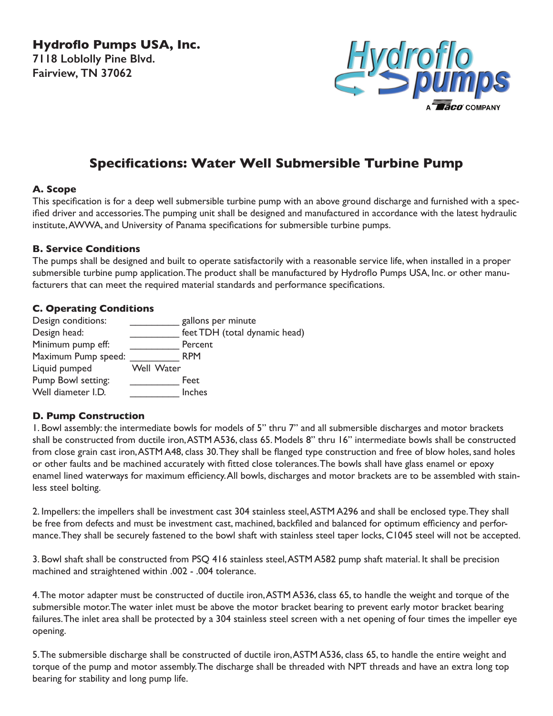**Hydroflo Pumps USA, Inc. 7118 Loblolly Pine Blvd. Fairview, TN 37062**



# **Specifications: Water Well Submersible Turbine Pump**

#### **A. Scope**

This specification is for a deep well submersible turbine pump with an above ground discharge and furnished with a specified driver and accessories. The pumping unit shall be designed and manufactured in accordance with the latest hydraulic institute, AWWA, and University of Panama specifications for submersible turbine pumps.

#### **B. Service Conditions**

The pumps shall be designed and built to operate satisfactorily with a reasonable service life, when installed in a proper submersible turbine pump application. The product shall be manufactured by Hydroflo Pumps USA, Inc. or other manufacturers that can meet the required material standards and performance specifications.

### **C. Operating Conditions**

| Design conditions:  |            | gallons per minute            |
|---------------------|------------|-------------------------------|
| Design head:        |            | feet TDH (total dynamic head) |
| Minimum pump eff:   |            | Percent                       |
| Maximum Pump speed: |            | <b>RPM</b>                    |
| Liquid pumped       | Well Water |                               |
| Pump Bowl setting:  |            | Feet                          |
| Well diameter I.D.  |            | Inches                        |

## **D. Pump Construction**

1. Bowl assembly: the intermediate bowls for models of 5" thru 7" and all submersible discharges and motor brackets shall be constructed from ductile iron, ASTM A536, class 65. Models 8" thru 16" intermediate bowls shall be constructed from close grain cast iron, ASTM A48, class 30. They shall be flanged type construction and free of blow holes, sand holes or other faults and be machined accurately with fitted close tolerances. The bowls shall have glass enamel or epoxy enamel lined waterways for maximum efficiency. All bowls, discharges and motor brackets are to be assembled with stainless steel bolting.

2. Impellers: the impellers shall be investment cast 304 stainless steel, ASTM A296 and shall be enclosed type. They shall be free from defects and must be investment cast, machined, backfiled and balanced for optimum efficiency and performance. They shall be securely fastened to the bowl shaft with stainless steel taper locks, C1045 steel will not be accepted.

3. Bowl shaft shall be constructed from PSQ 416 stainless steel, ASTM A582 pump shaft material. It shall be precision machined and straightened within .002 - .004 tolerance.

4. The motor adapter must be constructed of ductile iron, ASTM A536, class 65, to handle the weight and torque of the submersible motor. The water inlet must be above the motor bracket bearing to prevent early motor bracket bearing failures. The inlet area shall be protected by a 304 stainless steel screen with a net opening of four times the impeller eye opening.

5. The submersible discharge shall be constructed of ductile iron, ASTM A536, class 65, to handle the entire weight and torque of the pump and motor assembly. The discharge shall be threaded with NPT threads and have an extra long top bearing for stability and long pump life.